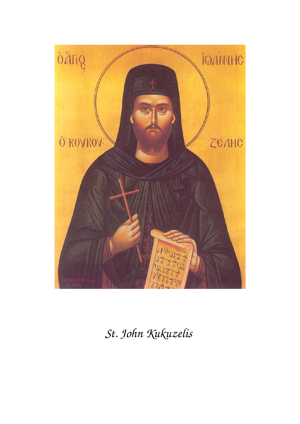

*St. John Kukuzelis*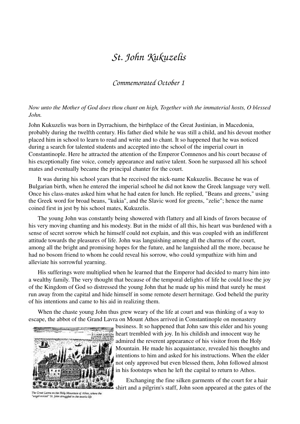## *St. John Kukuzelis*

## *Commemorated October 1*

## *Now unto the Mother of God does thou chant on high, Together with the immaterial hosts, O blessed John.*

John Kukuzelis was born in Dyrrachium, the birthplace of the Great Justinian, in Macedonia, probably during the twelfth century. His father died while he was still a child, and his devout mother placed him in school to learn to read and write and to chant. It so happened that he was noticed during a search for talented students and accepted into the school of the imperial court in Constantinople. Here he attracted the attention of the Emperor Comnenos and his court because of his exceptionally fine voice, comely appearance and native talent. Soon he surpassed all his school mates and eventually became the principal chanter for the court.

It was during his school years that he received the nick-name Kukuzelis. Because he was of Bulgarian birth, when he entered the imperial school he did not know the Greek language very well. Once his class-mates asked him what he had eaten for lunch. He replied, "Beans and greens," using the Greek word for broad beans, "kukia", and the Slavic word for greens, "zelie"; hence the name coined first in jest by his school mates, Kukuzelis.

 The young John was constantly being showered with flattery and all kinds of favors because of his very moving chanting and his modesty. But in the midst of all this, his heart was burdened with a sense of secret sorrow which he himself could not explain, and this was coupled with an indifferent attitude towards the pleasures of life. John was languishing among all the charms of the court, among all the bright and promising hopes for the future, and he languished all the more, because he had no bosom friend to whom he could reveal his sorrow, who could sympathize with him and alleviate his sorrowful yearning.

 His sufferings were multiplied when he learned that the Emperor had decided to marry him into a wealthy family. The very thought that because of the temporal delights of life he could lose the joy of the Kingdom of God so distressed the young John that he made up his mind that surely he must run away from the capital and hide himself in some remote desert hermitage. God beheld the purity of his intentions and came to his aid in realizing them.

 When the chaste young John thus grew weary of the life at court and was thinking of a way to escape, the abbot of the Grand Lavra on Mount Athos arrived in Constantinople on monastery



The Great Lavra on the Holy Mountain of Athos, where the angel-voiced" St. John struggled in the ascetic life

business. It so happened that John saw this elder and his young heart trembled with joy. In his childish and innocent way he admired the reverent appearance of his visitor from the Holy Mountain. He made his acquaintance, revealed his thoughts and intentions to him and asked for his instructions. When the elder not only approved but even blessed them, John followed almost in his footsteps when he left the capital to return to Athos.

 Exchanging the fine silken garments of the court for a hair shirt and a pilgrim's staff, John soon appeared at the gates of the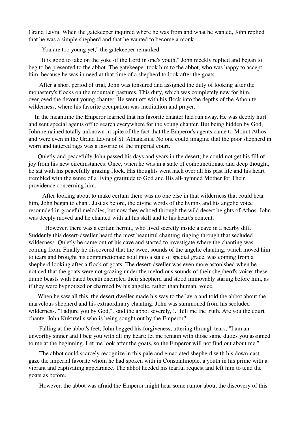Grand Lavra. When the gatekeeper inquired where he was from and what he wanted, John replied that he was a simple shepherd and that he wanted to become a monk.

"You are too young yet," the gatekeeper remarked.

 "It is good to take on the yoke of the Lord in one's youth," John meekly replied and began to beg to be presented to the abbot. The gatekeeper took him to the abbot, who was happy to accept him, because he was in need at that time of a shepherd to look after the goats.

 After a short period of trial, John was tonsured and assigned the duty of looking after the monastery's flocks on the mountain pastures. This duty, which was completely new for him, overjoyed the devout young chanter∙ He went off with his flock into the depths of the Athonite wilderness, where his favorite occupation was meditation and prayer.

 In the meantime the Emperor learned that his favorite chanter had run away. He was deeply hurt and sent special agents off to search everywhere for the young chanter. But being hidden by God, John remained totally unknown in spite of the fact that the Emperor's agents came to Mount Athos and were even in the Grand Lavra of St. Athanasius. No one could imagine that the poor shepherd in worn and tattered rags was a favorite of the imperial court.

 Quietly and peacefully John passed his days and years in the desert; he could not get his fill of joy from his new circumstances. Once, when he was in a state of compunctionate and deep thought, he sat with his peacefully grazing flock. His thoughts went hack over all his past life and his heart trembled with the sense of a living gratitude to God and His all-hymned Mother for Their providence concerning him.

 After looking about to make certain there was no one else in that wilderness that could hear him, John began to chant. Just as before, the divine words of the hymns and his angelic voice resounded in graceful melodies, but now they echoed through the wild desert heights of Athos. John was deeply moved and he chanted with all his skill and to his heart's content.

 However, there was a certain hermit, who lived secretly inside a cave in a nearby diff. Suddenly this desert-dweller heard the most beautiful chanting ringing through that secluded wilderness. Quietly he came out of his cave and started to investigate where the chanting was coming from. Finally he discovered that the sweet sounds of the angelic chanting, which moved him to tears and brought his compunctionate soul into a state of special grace, was coming from a shepherd looking after a flock of goats. The desert-dweller was even more astonished when he noticed that the goats were not grazing under the melodious sounds of their shepherd's voice; these dumb beasts with bated breath encircled their shepherd and stood immovably staring before him, as if they were hypnotized or charmed by his angelic, rather than human, voice.

 When he saw all this, the desert dweller made his way to the lavra and told the abbot about the marvelous shepherd and his extraordinary chanting, John was summoned from his secluded wilderness. "I adjure you by God,". said the abbot severely, !."Tell me the truth. Are you the court chanter John Kukuzelis who is being sought out by the Emperor?"

 Falling at the abbot's feet, John begged his forgiveness, uttering through tears, "I am an unworthy sinner and I beg you with all my heart: let me remain with those same duties you assigned to me at the beginning. Let me look after the goats, so the Emperor will not find out about me."

The abbot could scarcely recognize in this pale and emaciated shepherd with his down-cast gaze the imperial favorite whom he had spoken with in Constantinople, a youth in his prime with a vibrant and captivating appearance. The abbot heeded his tearful request and left him to tend the goats as before.

However, the abbot was afraid the Emperor might hear some rumor about the discovery of this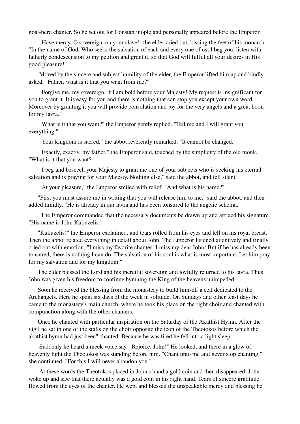goat-herd chanter. So he set out for Constantinople and personally appeared before the Emperor.

 "Have mercy, O sovereign, on your slave!" the elder cried out, kissing the feet of his monarch. "In the name of God, Who seeks the salvation of each and every one of us, I beg you, listen with fatherly condescension to my petition and grant it, so that God will fulfill all your desires in His good pleasure!"

 Moved by the sincere and subject humility of the elder, the Emperor lifted him up and kindly asked, "Father, what is it that you want from me?"

 "Forgive me, my sovereign, if I am bold before your Majesty! My request is insignificant for you to grant it. It is easy for you and there is nothing that can stop you except your own word. Moreover by granting it you will provide consolation and joy for the very angels and a great boon for my lavra."

 "What is it that you want?" the Emperor gently replied. "Tell me and I will grant you everything."

"Your kingdom is sacred," the abbot reverently remarked. "It cannot be changed."

 "Exactly, exactly, my father," the Emperor said, touched by the simplicity of the old monk. "What is it that you want?"

 "I beg and beseech your Majesty to grant me one of your subjects who is seeking his eternal salvation and is praying for your Majesty. Nothing else," said the abbot, and fell silent.

"At your pleasure," the Emperor smiled with relief. "And what is his name?"

 "First you must assure me in writing that you will release him to me," said the abbot, and then added timidly, "He is already in our lavra and has been tonsured to the angelic schema."

 The Emperor commanded that the necessary documents be drawn up and affixed his signature. "His name is John Kukuzelis."

 "Kukuzelis!" the Emperor exclaimed, and tears rolled from his eyes and fell on his royal breast. Then the abbot related everything in detail about John. The Emperor listened attentively and finally cried out with emotion, "I miss my favorite chanter! I miss my dear John! But if he has already been tonsured, there is nothing I can do. The salvation of his soul is what is most important. Let him pray for my salvation and for my kingdom."

 The elder blessed the Lord and his merciful sovereign and joyfully returned to his lavra. Thus John was given his freedom to continue hymning the King of the heavens unimpeded.

 Soon he received the blessing from the monastery to build himself a cell dedicated to the Archangels. Here he spent six days of the week in solitude. On Sundays and other feast days he came to the monastery's main church, where he took his place on the right choir and chanted with compunction along with the other chanters.

 Once he chanted with particular inspiration on the Saturday of the Akathist Hymn. After the vigil he sat in one of the stalls on the choir opposite the icon of the Theotokos before which the akathist hymn had just been'' chanted. Because he was tired he fell into a light sleep.

 Suddenly he heard a meek voice say, "Rejoice, John!" He looked, and there in a glow of heavenly light the Theotokos was standing before him. "Chant unto me and never stop chanting," she continued. "For this I will never abandon you."

 At these words the Theotokos placed in John's hand a gold coin and then disappeared. John woke up and saw that there actually was a gold coin in his right hand. Tears of sincere gratitude flowed from the eyes of the chanter. He wept and blessed the unspeakable mercy and blessing he